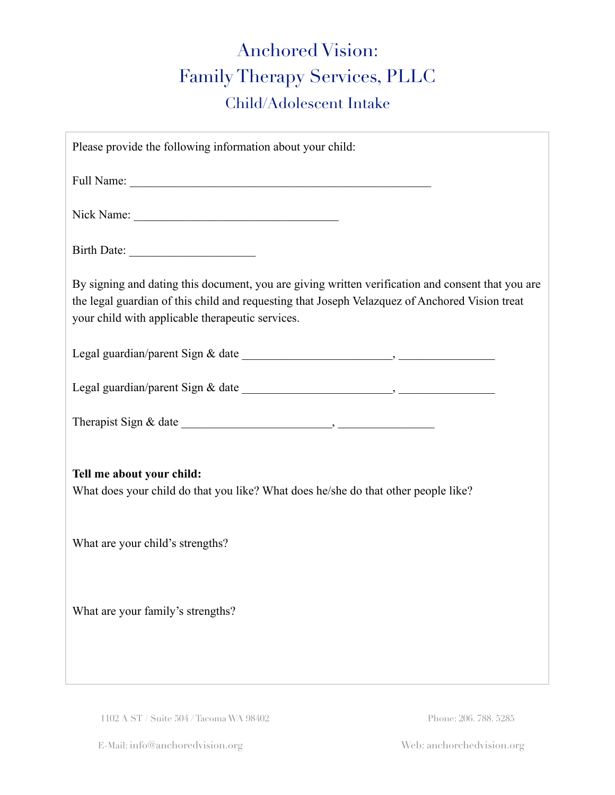# Anchored Vision: Family Therapy Services, PLLC Child/Adolescent Intake

| Please provide the following information about your child:                                                                                                                                                                                              |  |  |  |
|---------------------------------------------------------------------------------------------------------------------------------------------------------------------------------------------------------------------------------------------------------|--|--|--|
|                                                                                                                                                                                                                                                         |  |  |  |
|                                                                                                                                                                                                                                                         |  |  |  |
| Birth Date:                                                                                                                                                                                                                                             |  |  |  |
| By signing and dating this document, you are giving written verification and consent that you are<br>the legal guardian of this child and requesting that Joseph Velazquez of Anchored Vision treat<br>your child with applicable therapeutic services. |  |  |  |
|                                                                                                                                                                                                                                                         |  |  |  |
|                                                                                                                                                                                                                                                         |  |  |  |
|                                                                                                                                                                                                                                                         |  |  |  |
| Tell me about your child:<br>What does your child do that you like? What does he/she do that other people like?                                                                                                                                         |  |  |  |
| What are your child's strengths?                                                                                                                                                                                                                        |  |  |  |
| What are your family's strengths?                                                                                                                                                                                                                       |  |  |  |

1102 A ST / Suite 504 / Tacoma WA 98402 Phone: 206. 788. 5285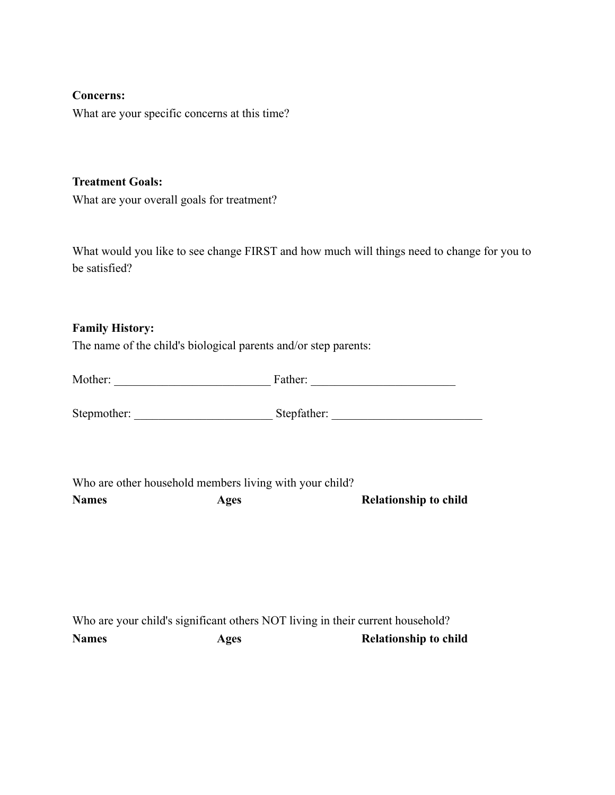## **Concerns:**

What are your specific concerns at this time?

#### **Treatment Goals:**

What are your overall goals for treatment?

What would you like to see change FIRST and how much will things need to change for you to be satisfied?

## **Family History:**

The name of the child's biological parents and/or step parents:

| Mother:      |                                                                        |                                                                                |
|--------------|------------------------------------------------------------------------|--------------------------------------------------------------------------------|
|              |                                                                        |                                                                                |
| <b>Names</b> | Who are other household members living with your child?<br><b>Ages</b> | <b>Relationship to child</b>                                                   |
|              |                                                                        |                                                                                |
|              |                                                                        | Who are your child's significant others NOT living in their current household? |

no are your child's significant others NOT living in their current household? **Names** Ages Ages Relationship to child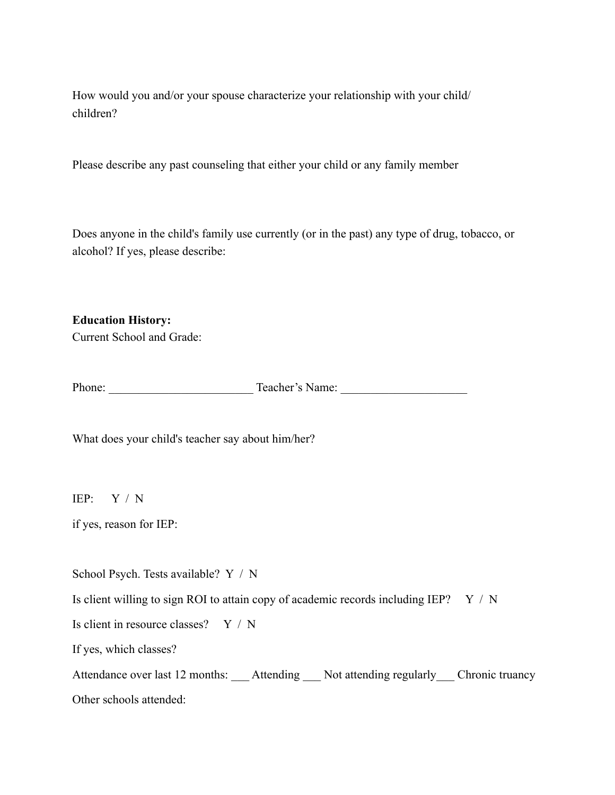How would you and/or your spouse characterize your relationship with your child/ children?

Please describe any past counseling that either your child or any family member

Does anyone in the child's family use currently (or in the past) any type of drug, tobacco, or alcohol? If yes, please describe:

**Education History:**  Current School and Grade:

Phone: Teacher's Name:

What does your child's teacher say about him/her?

IEP: Y / N

if yes, reason for IEP:

School Psych. Tests available? Y / N

Is client willing to sign ROI to attain copy of academic records including IEP?  $Y / N$ 

Is client in resource classes? Y / N

If yes, which classes?

Attendance over last 12 months: Attending Not attending regularly Chronic truancy Other schools attended: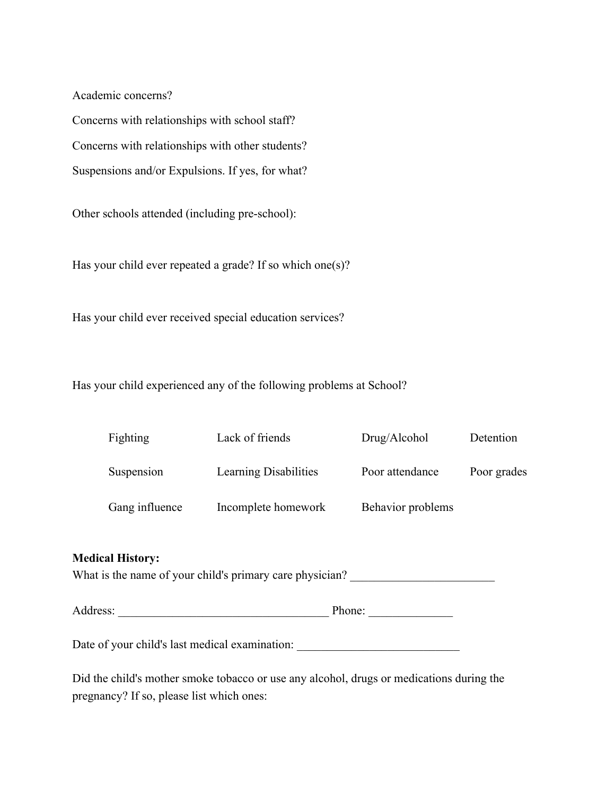Academic concerns?

Concerns with relationships with school staff? Concerns with relationships with other students? Suspensions and/or Expulsions. If yes, for what?

Other schools attended (including pre-school):

Has your child ever repeated a grade? If so which one(s)?

Has your child ever received special education services?

Has your child experienced any of the following problems at School?

| Fighting       | Lack of friends       | Drug/Alcohol      | Detention   |
|----------------|-----------------------|-------------------|-------------|
| Suspension     | Learning Disabilities | Poor attendance   | Poor grades |
| Gang influence | Incomplete homework   | Behavior problems |             |

#### **Medical History:**

What is the name of your child's primary care physician?

Address: \_\_\_\_\_\_\_\_\_\_\_\_\_\_\_\_\_\_\_\_\_\_\_\_\_\_\_\_\_\_\_\_\_\_\_ Phone: \_\_\_\_\_\_\_\_\_\_\_\_\_\_

Date of your child's last medical examination:

Did the child's mother smoke tobacco or use any alcohol, drugs or medications during the pregnancy? If so, please list which ones: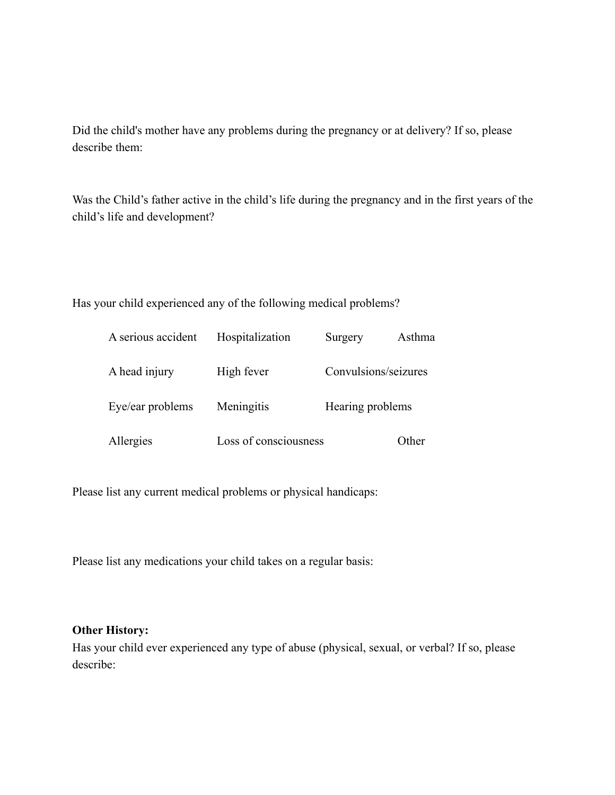Did the child's mother have any problems during the pregnancy or at delivery? If so, please describe them:

Was the Child's father active in the child's life during the pregnancy and in the first years of the child's life and development?

Has your child experienced any of the following medical problems?

| A serious accident | Hospitalization       | Surgery              | Asthma |
|--------------------|-----------------------|----------------------|--------|
| A head injury      | High fever            | Convulsions/seizures |        |
| Eye/ear problems   | Meningitis            | Hearing problems     |        |
| Allergies          | Loss of consciousness |                      | Other  |

Please list any current medical problems or physical handicaps:

Please list any medications your child takes on a regular basis:

### **Other History:**

Has your child ever experienced any type of abuse (physical, sexual, or verbal? If so, please describe: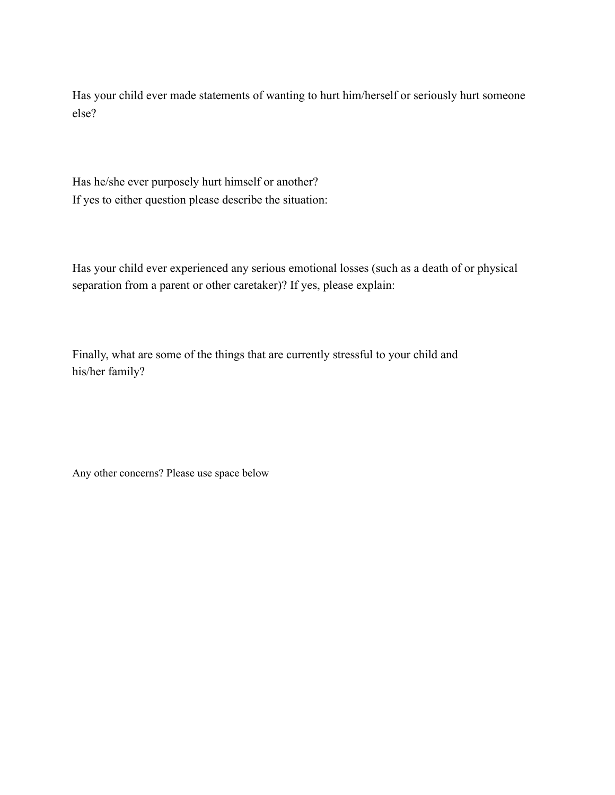Has your child ever made statements of wanting to hurt him/herself or seriously hurt someone else?

Has he/she ever purposely hurt himself or another? If yes to either question please describe the situation:

Has your child ever experienced any serious emotional losses (such as a death of or physical separation from a parent or other caretaker)? If yes, please explain:

Finally, what are some of the things that are currently stressful to your child and his/her family?

Any other concerns? Please use space below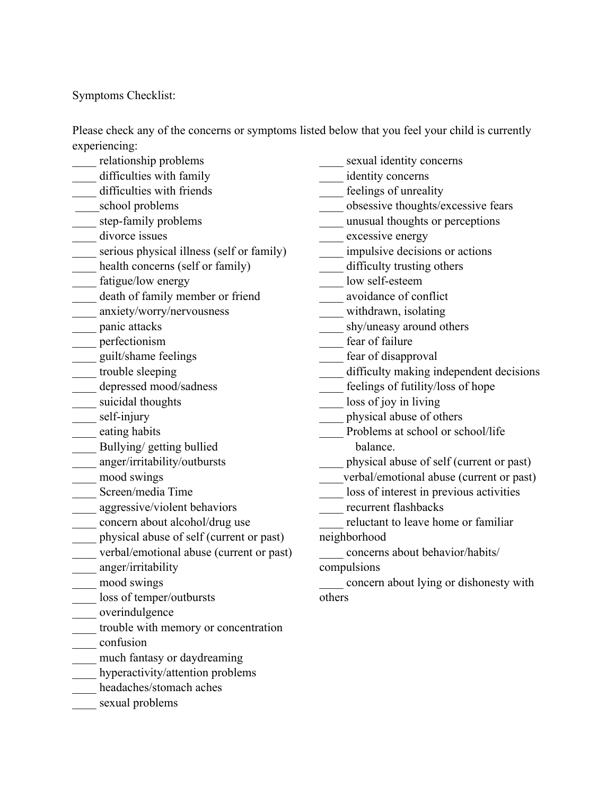Symptoms Checklist:

Please check any of the concerns or symptoms listed below that you feel your child is currently experiencing:

- \_\_\_\_ relationship problems
- difficulties with family difficulties with friends
- \_\_\_\_\_school problems
- 
- \_\_\_\_ step-family problems
- \_\_\_\_ divorce issues
- \_\_\_\_ serious physical illness (self or family)
- \_\_\_\_ health concerns (self or family)
- fatigue/low energy
- \_\_\_\_ death of family member or friend
- \_\_\_\_ anxiety/worry/nervousness
- \_\_\_\_ panic attacks
- \_\_\_\_ perfectionism
- \_\_\_\_ guilt/shame feelings
- \_\_\_\_ trouble sleeping
- depressed mood/sadness
- \_\_\_\_ suicidal thoughts
- \_\_\_\_ self-injury
- \_\_\_\_ eating habits
- \_\_\_\_ Bullying/ getting bullied
- \_\_\_\_ anger/irritability/outbursts
- \_\_\_\_ mood swings
- \_\_\_\_ Screen/media Time
- \_\_\_\_ aggressive/violent behaviors
- \_\_\_\_ concern about alcohol/drug use
- \_\_\_\_ physical abuse of self (current or past)
- \_\_\_\_ verbal/emotional abuse (current or past)
- \_\_\_\_ anger/irritability
- \_\_\_\_ mood swings
- \_\_\_\_ loss of temper/outbursts
- \_\_\_\_ overindulgence
- \_\_\_\_ trouble with memory or concentration
- \_\_\_\_ confusion
- much fantasy or daydreaming
- hyperactivity/attention problems
- \_\_\_\_ headaches/stomach aches
- sexual problems
- \_\_\_\_ sexual identity concerns
- \_\_\_\_ identity concerns
- \_\_\_\_ feelings of unreality
- \_\_\_\_ obsessive thoughts/excessive fears
- \_\_\_\_ unusual thoughts or perceptions
- \_\_\_\_ excessive energy
- \_\_\_\_ impulsive decisions or actions
- \_\_\_\_ difficulty trusting others
- low self-esteem
- \_\_\_\_ avoidance of conflict
- \_\_\_\_ withdrawn, isolating
- shy/uneasy around others
- \_\_\_\_ fear of failure
- \_\_\_\_ fear of disapproval
- difficulty making independent decisions
- feelings of futility/loss of hope
- \_\_\_\_ loss of joy in living
- \_\_\_\_ physical abuse of others
- Problems at school or school/life balance.
- \_\_\_\_ physical abuse of self (current or past)
- \_\_\_\_verbal/emotional abuse (current or past)
- loss of interest in previous activities
- recurrent flashbacks
- reluctant to leave home or familiar
- neighborhood
- \_\_\_\_ concerns about behavior/habits/ compulsions
- \_\_\_\_ concern about lying or dishonesty with others